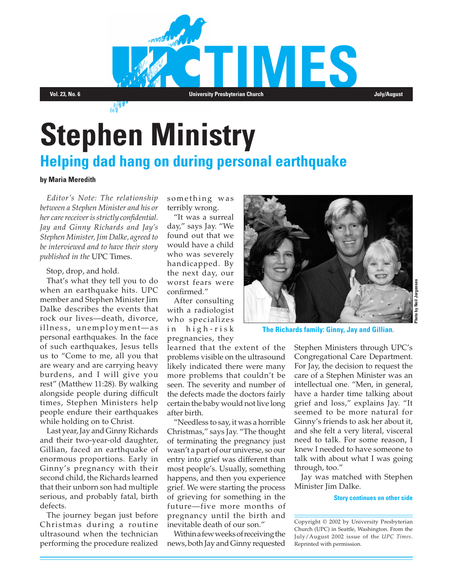

# **Stephen Ministry**

## **Helping dad hang on during personal earthquake**

#### **by Maria Meredith**

*Editor's Note: The relationship between a Stephen Minister and his or her care receiver is strictly confidential. Jay and Ginny Richards and Jay's Stephen Minister, Jim Dalke, agreed to be interviewed and to have their story published in the* UPC Times.

Stop, drop, and hold.

That's what they tell you to do when an earthquake hits. UPC member and Stephen Minister Jim Dalke describes the events that rock our lives—death, divorce, illness, unemployment-as personal earthquakes. In the face of such earthquakes, Jesus tells us to "Come to me, all you that are weary and are carrying heavy burdens, and I will give you rest" (Matthew 11:28). By walking alongside people during difficult times, Stephen Ministers help people endure their earthquakes while holding on to Christ.

Last year, Jay and Ginny Richards and their two-year-old daughter, Gillian, faced an earthquake of enormous proportions. Early in Ginny's pregnancy with their second child, the Richards learned that their unborn son had multiple serious, and probably fatal, birth defects.

The journey began just before Christmas during a routine ultrasound when the technician performing the procedure realized

something was terribly wrong.

"It was a surreal day," says Jay. "We found out that we would have a child who was severely handicapped. By the next day, our worst fears were confirmed."

After consulting with a radiologist who specializes in high-risk pregnancies, they

learned that the extent of the problems visible on the ultrasound likely indicated there were many more problems that couldn't be seen. The severity and number of the defects made the doctors fairly certain the baby would not live long after birth.

"Needless to say, it was a horrible Christmas," says Jay. "The thought of terminating the pregnancy just wasn't a part of our universe, so our entry into grief was different than most people's. Usually, something happens, and then you experience grief. We were starting the process of grieving for something in the future—five more months of pregnancy until the birth and inevitable death of our son."

Within a few weeks of receiving the news, both Jay and Ginny requested



**The Richards family: Ginny, Jay and Gillian.**

Stephen Ministers through UPC's Congregational Care Department. For Jay, the decision to request the care of a Stephen Minister was an intellectual one. "Men, in general, have a harder time talking about grief and loss," explains Jay. "It seemed to be more natural for Ginny's friends to ask her about it, and she felt a very literal, visceral need to talk. For some reason, I knew I needed to have someone to talk with about what I was going through, too."

Jay was matched with Stephen Minister Jim Dalke.

**Story continues on other side**

Copyright © 2002 by University Presbyterian Church (UPC) in Seattle, Washington. From the July/August 2002 issue of the *UPC Times*. Reprinted with permission.